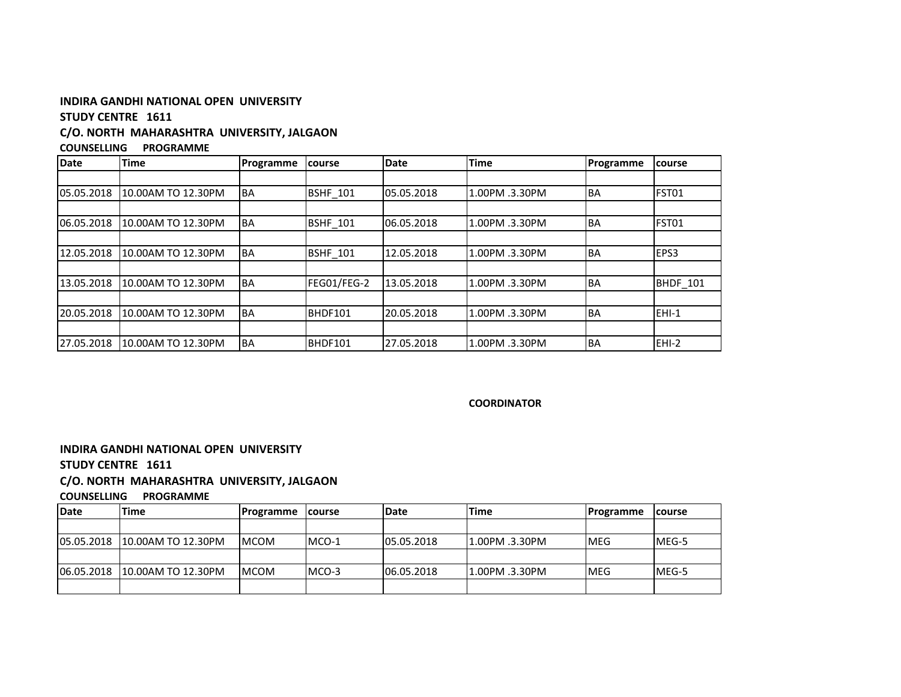# **INDIRA GANDHI NATIONAL OPEN UNIVERSITY**

# **STUDY CENTRE 1611**

## **C/O. NORTH MAHARASHTRA UNIVERSITY, JALGAON**

**COUNSELLING PROGRAMME** 

| <b>Date</b> | <b>Time</b>        | Programme | course          | Date       | <b>Time</b>    | Programme | course   |
|-------------|--------------------|-----------|-----------------|------------|----------------|-----------|----------|
|             |                    |           |                 |            |                |           |          |
| 05.05.2018  | 10.00AM TO 12.30PM | <b>BA</b> | <b>BSHF 101</b> | 05.05.2018 | 1.00PM .3.30PM | <b>BA</b> | FST01    |
|             |                    |           |                 |            |                |           |          |
| 06.05.2018  | 10.00AM TO 12.30PM | <b>BA</b> | <b>BSHF 101</b> | 06.05.2018 | 1.00PM .3.30PM | BA        | FST01    |
|             |                    |           |                 |            |                |           |          |
| 12.05.2018  | 10.00AM TO 12.30PM | <b>BA</b> | <b>BSHF 101</b> | 12.05.2018 | 1.00PM .3.30PM | <b>BA</b> | EPS3     |
|             |                    |           |                 |            |                |           |          |
| 13.05.2018  | 10.00AM TO 12.30PM | <b>BA</b> | FEG01/FEG-2     | 13.05.2018 | 1.00PM .3.30PM | <b>BA</b> | BHDF_101 |
|             |                    |           |                 |            |                |           |          |
| 20.05.2018  | 10.00AM TO 12.30PM | <b>BA</b> | BHDF101         | 20.05.2018 | 1.00PM .3.30PM | <b>BA</b> | EHI-1    |
|             |                    |           |                 |            |                |           |          |
| 27.05.2018  | 10.00AM TO 12.30PM | <b>BA</b> | BHDF101         | 27.05.2018 | 1.00PM .3.30PM | <b>BA</b> | EHI-2    |

### **COORDINATOR**

**INDIRA GANDHI NATIONAL OPEN UNIVERSITY**

# **STUDY CENTRE 1611**

### **C/O. NORTH MAHARASHTRA UNIVERSITY, JALGAON**

**COUNSELLING PROGRAMME** 

| <b>IDate</b> | lTime                          | Programme    | <b>Icourse</b> | Date       | <b>Time</b>    | Programme  | <b>Icourse</b> |
|--------------|--------------------------------|--------------|----------------|------------|----------------|------------|----------------|
|              |                                |              |                |            |                |            |                |
|              | 105.05.2018 10.00AM TO 12.30PM | <b>IMCOM</b> | MCO-1          | 05.05.2018 | 1.00PM .3.30PM | <b>MEG</b> | MEG-5          |
|              |                                |              |                |            |                |            |                |
|              | 106.05.2018 10.00AM TO 12.30PM | <b>IMCOM</b> | $MCO-3$        | 06.05.2018 | 1.00PM .3.30PM | <b>MEG</b> | MEG-5          |
|              |                                |              |                |            |                |            |                |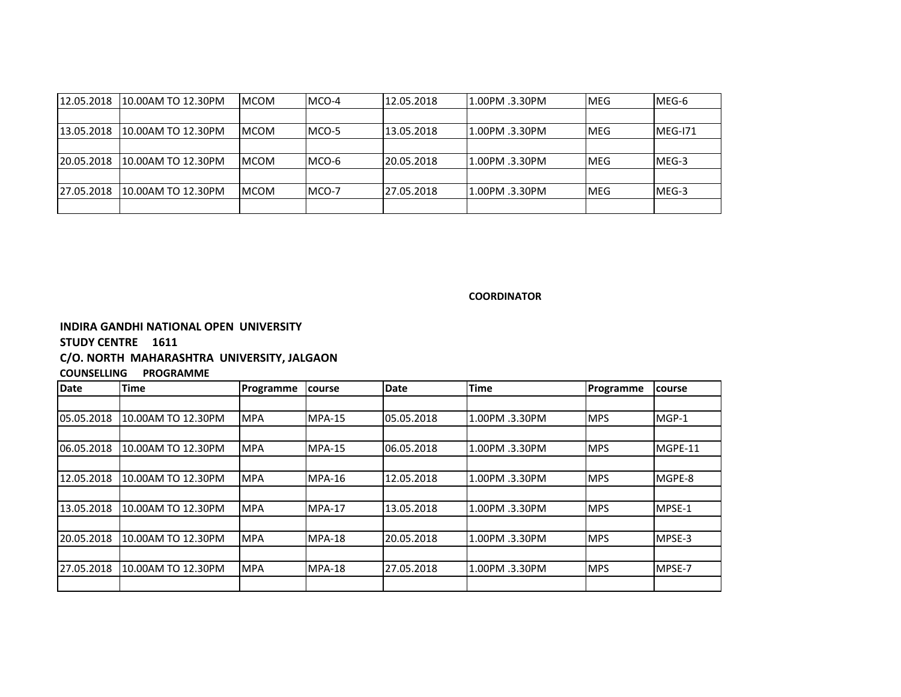| 12.05.2018 | 10.00AM TO 12.30PM | <b>IMCOM</b> | MCO-4  | 12.05.2018 | 1.00PM .3.30PM | <b>MEG</b>  | MEG-6   |
|------------|--------------------|--------------|--------|------------|----------------|-------------|---------|
|            |                    |              |        |            |                |             |         |
| 13.05.2018 | 10.00AM TO 12.30PM | <b>IMCOM</b> | IMCO-5 | 13.05.2018 | 1.00PM .3.30PM | <b>IMEG</b> | MEG-171 |
|            |                    |              |        |            |                |             |         |
| 20.05.2018 | 10.00AM TO 12.30PM | <b>IMCOM</b> | MCO-6  | 20.05.2018 | 1.00PM .3.30PM | IMEG        | MEG-3   |
|            |                    |              |        |            |                |             |         |
| 27.05.2018 | 10.00AM TO 12.30PM | <b>IMCOM</b> | IMCO-7 | 27.05.2018 | 1.00PM .3.30PM | <b>MEG</b>  | MEG-3   |
|            |                    |              |        |            |                |             |         |

### **COORDINATOR**

**INDIRA GANDHI NATIONAL OPEN UNIVERSITY**

# **STUDY CENTRE 1611**

#### **C/O. NORTH MAHARASHTRA UNIVERSITY, JALGAON**

# **COUNSELLING PROGRAMME**

| Date       | <b>Time</b>        | Programme  | <b>course</b> | <b>Date</b> | <b>Time</b>    | Programme   | course  |
|------------|--------------------|------------|---------------|-------------|----------------|-------------|---------|
|            |                    |            |               |             |                |             |         |
| 05.05.2018 | 10.00AM TO 12.30PM | <b>MPA</b> | MPA-15        | 05.05.2018  | 1.00PM .3.30PM | <b>IMPS</b> | MGP-1   |
|            |                    |            |               |             |                |             |         |
| 06.05.2018 | 10.00AM TO 12.30PM | <b>MPA</b> | MPA-15        | 06.05.2018  | 1.00PM .3.30PM | <b>IMPS</b> | MGPE-11 |
|            |                    |            |               |             |                |             |         |
| 12.05.2018 | 10.00AM TO 12.30PM | <b>MPA</b> | MPA-16        | 12.05.2018  | 1.00PM .3.30PM | <b>IMPS</b> | MGPE-8  |
|            |                    |            |               |             |                |             |         |
| 13.05.2018 | 10.00AM TO 12.30PM | <b>MPA</b> | MPA-17        | 13.05.2018  | 1.00PM .3.30PM | <b>IMPS</b> | MPSE-1  |
|            |                    |            |               |             |                |             |         |
| 20.05.2018 | 10.00AM TO 12.30PM | <b>MPA</b> | MPA-18        | 20.05.2018  | 1.00PM .3.30PM | <b>IMPS</b> | MPSE-3  |
|            |                    |            |               |             |                |             |         |
| 27.05.2018 | 10.00AM TO 12.30PM | <b>MPA</b> | MPA-18        | 27.05.2018  | 1.00PM .3.30PM | <b>MPS</b>  | MPSE-7  |
|            |                    |            |               |             |                |             |         |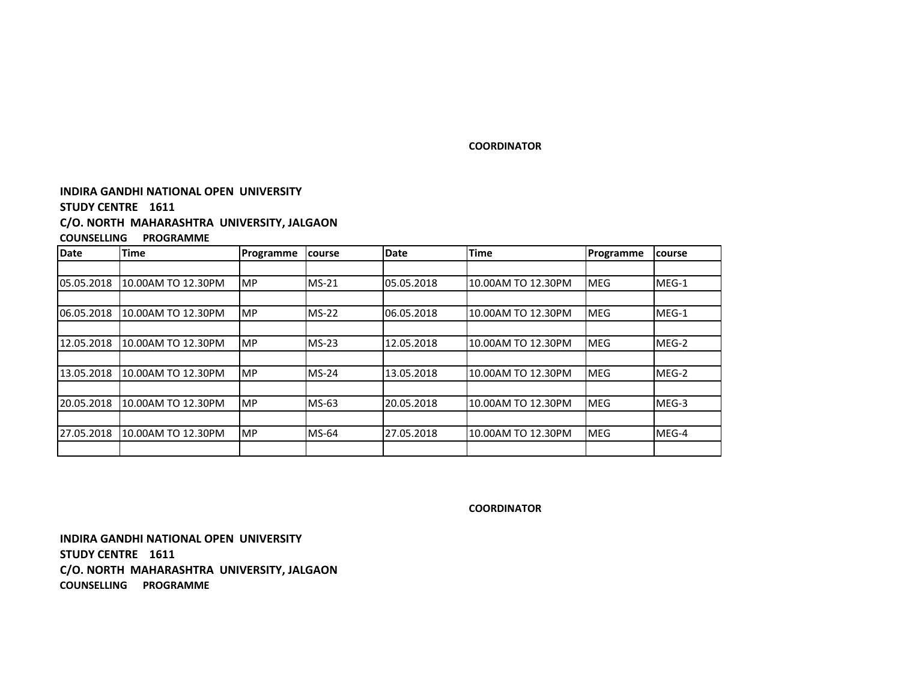## **COORDINATOR**

# **INDIRA GANDHI NATIONAL OPEN UNIVERSITY**

# **STUDY CENTRE 1611**

### **C/O. NORTH MAHARASHTRA UNIVERSITY, JALGAON**

# **COUNSELLING PROGRAMME**

| <b>Date</b> | <b>Time</b>        | Programme | course  | <b>Date</b> | <b>Time</b>        | Programme  | course |
|-------------|--------------------|-----------|---------|-------------|--------------------|------------|--------|
|             |                    |           |         |             |                    |            |        |
| 05.05.2018  | 10.00AM TO 12.30PM | <b>MP</b> | $MS-21$ | 05.05.2018  | 10.00AM TO 12.30PM | <b>MEG</b> | MEG-1  |
|             |                    |           |         |             |                    |            |        |
| 06.05.2018  | 10.00AM TO 12.30PM | <b>MP</b> | $MS-22$ | 06.05.2018  | 10.00AM TO 12.30PM | <b>MEG</b> | MEG-1  |
|             |                    |           |         |             |                    |            |        |
| 12.05.2018  | 10.00AM TO 12.30PM | <b>MP</b> | $MS-23$ | 12.05.2018  | 10.00AM TO 12.30PM | <b>MEG</b> | MEG-2  |
|             |                    |           |         |             |                    |            |        |
| 13.05.2018  | 10.00AM TO 12.30PM | <b>MP</b> | $MS-24$ | 13.05.2018  | 10.00AM TO 12.30PM | <b>MEG</b> | MEG-2  |
|             |                    |           |         |             |                    |            |        |
| 20.05.2018  | 10.00AM TO 12.30PM | <b>MP</b> | $MS-63$ | 20.05.2018  | 10.00AM TO 12.30PM | <b>MEG</b> | MEG-3  |
|             |                    |           |         |             |                    |            |        |
| 27.05.2018  | 10.00AM TO 12.30PM | <b>MP</b> | $MS-64$ | 27.05.2018  | 10.00AM TO 12.30PM | <b>MEG</b> | MEG-4  |
|             |                    |           |         |             |                    |            |        |

**COORDINATOR**

**INDIRA GANDHI NATIONAL OPEN UNIVERSITYSTUDY CENTRE 1611 C/O. NORTH MAHARASHTRA UNIVERSITY, JALGAONCOUNSELLING PROGRAMME**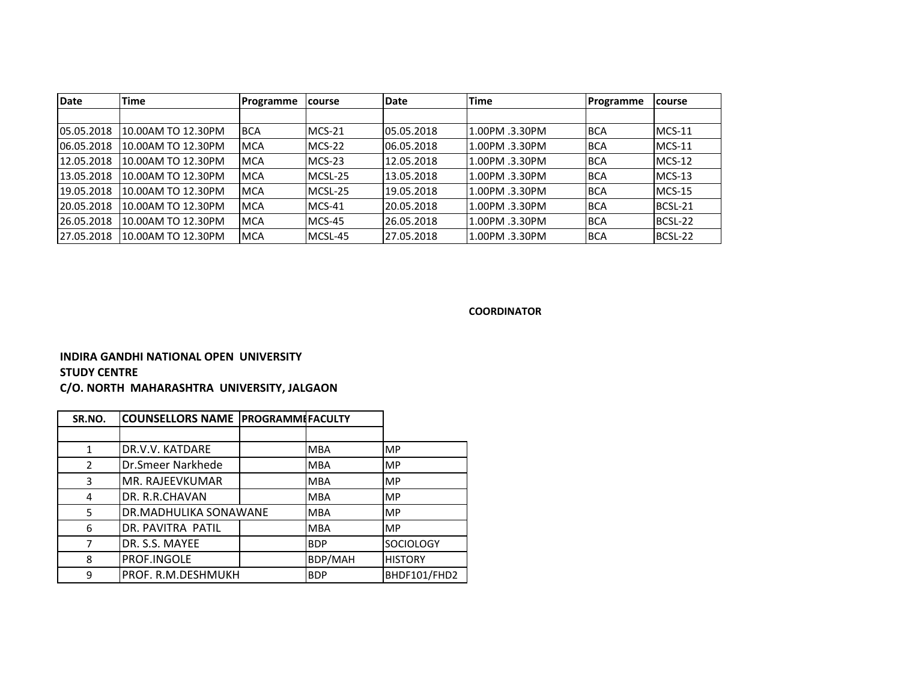| <b>Date</b> | Time               | Programme  | <b>Icourse</b> | Date       | <b>Time</b>    | Programme  | course   |
|-------------|--------------------|------------|----------------|------------|----------------|------------|----------|
|             |                    |            |                |            |                |            |          |
| 05.05.2018  | 10.00AM TO 12.30PM | <b>BCA</b> | $MCS-21$       | 05.05.2018 | 1.00PM .3.30PM | <b>BCA</b> | $MCS-11$ |
| 06.05.2018  | 10.00AM TO 12.30PM | <b>MCA</b> | $MCS-22$       | 06.05.2018 | 1.00PM .3.30PM | <b>BCA</b> | $MCS-11$ |
| 12.05.2018  | 10.00AM TO 12.30PM | <b>MCA</b> | $MCS-23$       | 12.05.2018 | 1.00PM .3.30PM | <b>BCA</b> | $MCS-12$ |
| 13.05.2018  | 10.00AM TO 12.30PM | <b>MCA</b> | MCSL-25        | 13.05.2018 | 1.00PM .3.30PM | <b>BCA</b> | $MCS-13$ |
| 19.05.2018  | 10.00AM TO 12.30PM | <b>MCA</b> | MCSL-25        | 19.05.2018 | 1.00PM .3.30PM | <b>BCA</b> | $MCS-15$ |
| 20.05.2018  | 10.00AM TO 12.30PM | <b>MCA</b> | $MCS-41$       | 20.05.2018 | 1.00PM .3.30PM | <b>BCA</b> | BCSL-21  |
| 26.05.2018  | 10.00AM TO 12.30PM | <b>MCA</b> | MCS-45         | 26.05.2018 | 1.00PM .3.30PM | <b>BCA</b> | BCSL-22  |
| 27.05.2018  | 10.00AM TO 12.30PM | <b>MCA</b> | MCSL-45        | 27.05.2018 | 1.00PM .3.30PM | <b>BCA</b> | BCSL-22  |

**COORDINATOR**

# **INDIRA GANDHI NATIONAL OPEN UNIVERSITYSTUDY CENTRE**

**C/O. NORTH MAHARASHTRA UNIVERSITY, JALGAON**

| SR.NO.        | COUNSELLORS NAME PROGRAMMIFACULTY |                |                  |
|---------------|-----------------------------------|----------------|------------------|
|               |                                   |                |                  |
| 1             | DR.V.V. KATDARE                   | <b>MBA</b>     | <b>MP</b>        |
| $\mathcal{L}$ | Dr.Smeer Narkhede                 | <b>MBA</b>     | <b>MP</b>        |
| 3             | MR. RAJEEVKUMAR                   | <b>MBA</b>     | <b>MP</b>        |
| 4             | DR. R.R.CHAVAN                    | <b>MBA</b>     | <b>MP</b>        |
| 5             | DR.MADHULIKA SONAWANE             | <b>MBA</b>     | <b>MP</b>        |
| 6             | DR. PAVITRA PATIL                 | <b>MBA</b>     | <b>MP</b>        |
|               | DR. S.S. MAYEE                    | <b>BDP</b>     | <b>SOCIOLOGY</b> |
| 8             | PROF.INGOLE                       | <b>BDP/MAH</b> | <b>HISTORY</b>   |
| 9             | PROF. R.M.DESHMUKH                | <b>BDP</b>     | BHDF101/FHD2     |